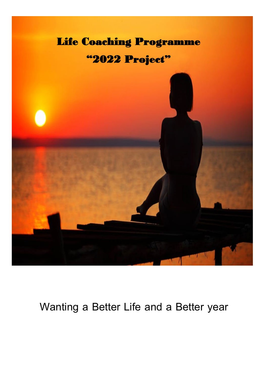

### **Wanting a Better Life and a Better year**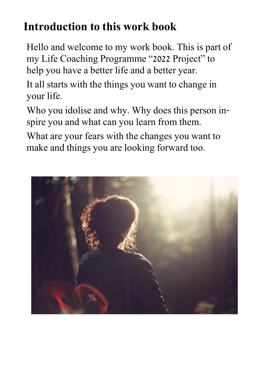# **Introduction to this work book**

Hello and welcome to my work book. This is part of my Life Coaching Programme "2022 Project" to help you have a better life and a better year.

It all starts with the things you want to change in your life.

Who you idolise and why. Why does this person inspire you and what can you learn from them.

What are your fears with the changes you want to make and things you are looking forward too.

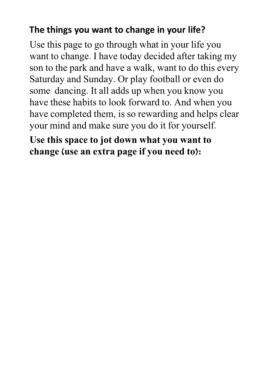#### **The things you want to change in your life?**

Use this page to go through what in your life you want to change. I have today decided after taking my son to the park and have a walk, want to do this every Saturday and Sunday. Or play football or even do some dancing. It all adds up when you know you have these habits to look forward to. And when you have completed them, is so rewarding and helps clear your mind and make sure you do it for yourself.

### **Use this space to jot down what you want to change (use an extra page if you need to):**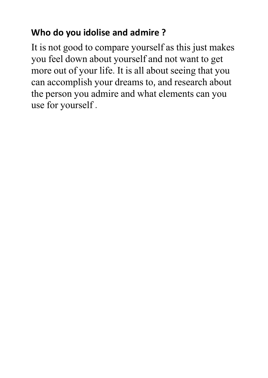### **Who do you idolise and admire ?**

It is not good to compare yourself as this just makes you feel down about yourself and not want to get more out of your life. It is all about seeing that you can accomplish your dreams to, and research about the person you admire and what elements can you use for yourself .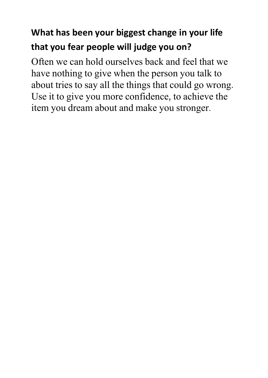## **What has been your biggest change in your life that you fear people will judge you on?**

Often we can hold ourselves back and feel that we have nothing to give when the person you talk to about tries to say all the things that could go wrong. Use it to give you more confidence, to achieve the item you dream about and make you stronger.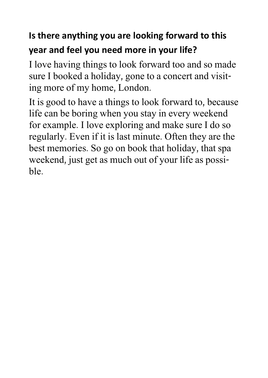### **Is there anything you are looking forward to this year and feel you need more in your life?**

I love having things to look forward too and so made sure I booked a holiday, gone to a concert and visiting more of my home, London.

It is good to have a things to look forward to, because life can be boring when you stay in every weekend for example. I love exploring and make sure I do so regularly. Even if it is last minute. Often they are the best memories. So go on book that holiday, that spa weekend, just get as much out of your life as possible.